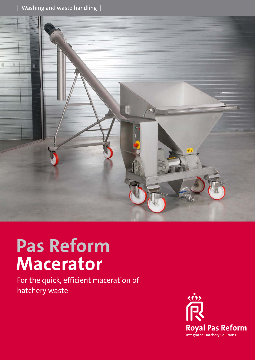

# **Pas Reform Macerator**

For the quick, efficient maceration of hatchery waste